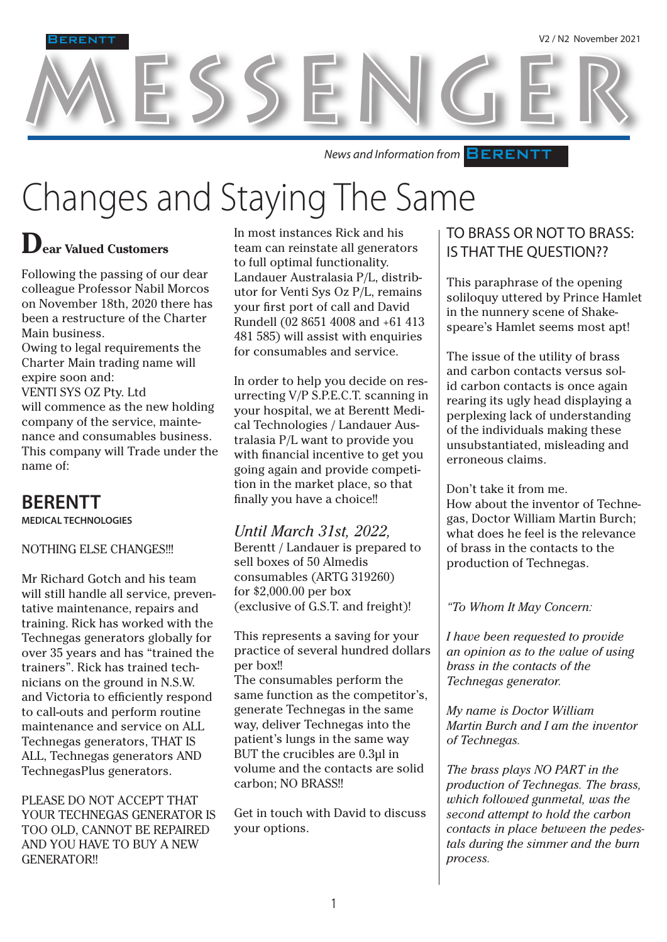MESSENGER

**News and Information from BERENTT** 

## Changes and Staying The Same

## **Dear Valued Customers**

**RENT** 

Following the passing of our dear colleague Professor Nabil Morcos on November 18th, 2020 there has been a restructure of the Charter Main business.

Owing to legal requirements the Charter Main trading name will expire soon and:

VENTI SYS OZ Pty. Ltd will commence as the new holding company of the service, maintenance and consumables business. This company will Trade under the name of:

## **BERENTT**

**MEDICAL TECHNOLOGIES**

#### NOTHING ELSE CHANGES!!!

Mr Richard Gotch and his team will still handle all service, preventative maintenance, repairs and training. Rick has worked with the Technegas generators globally for over 35 years and has "trained the trainers". Rick has trained technicians on the ground in N.S.W. and Victoria to efficiently respond to call-outs and perform routine maintenance and service on ALL Technegas generators, THAT IS ALL, Technegas generators AND TechnegasPlus generators.

PLEASE DO NOT ACCEPT THAT YOUR TECHNEGAS GENERATOR IS TOO OLD, CANNOT BE REPAIRED AND YOU HAVE TO BUY A NEW GENERATOR!!

In most instances Rick and his team can reinstate all generators to full optimal functionality. Landauer Australasia P/L, distributor for Venti Sys Oz P/L, remains your first port of call and David Rundell (02 8651 4008 and +61 413 481 585) will assist with enquiries for consumables and service.

In order to help you decide on resurrecting V/P S.P.E.C.T. scanning in your hospital, we at Berentt Medical Technologies / Landauer Australasia P/L want to provide you with financial incentive to get you going again and provide competition in the market place, so that finally you have a choice!!

*Until March 31st, 2022,*  Berentt / Landauer is prepared to sell boxes of 50 Almedis consumables (ARTG 319260) for \$2,000.00 per box (exclusive of G.S.T. and freight)!

This represents a saving for your practice of several hundred dollars per box!! The consumables perform the same function as the competitor's, generate Technegas in the same way, deliver Technegas into the patient's lungs in the same way BUT the crucibles are 0.3µl in volume and the contacts are solid carbon; NO BRASS!!

Get in touch with David to discuss your options.

### TO BRASS OR NOT TO BRASS: IS THAT THE QUESTION??

This paraphrase of the opening soliloquy uttered by Prince Hamlet in the nunnery scene of Shakespeare's Hamlet seems most apt!

The issue of the utility of brass and carbon contacts versus solid carbon contacts is once again rearing its ugly head displaying a perplexing lack of understanding of the individuals making these unsubstantiated, misleading and erroneous claims.

#### Don't take it from me.

How about the inventor of Technegas, Doctor William Martin Burch; what does he feel is the relevance of brass in the contacts to the production of Technegas.

*"To Whom It May Concern:*

*I have been requested to provide an opinion as to the value of using brass in the contacts of the Technegas generator.*

*My name is Doctor William Martin Burch and I am the inventor of Technegas.* 

*The brass plays NO PART in the production of Technegas. The brass, which followed gunmetal, was the second attempt to hold the carbon contacts in place between the pedestals during the simmer and the burn process.*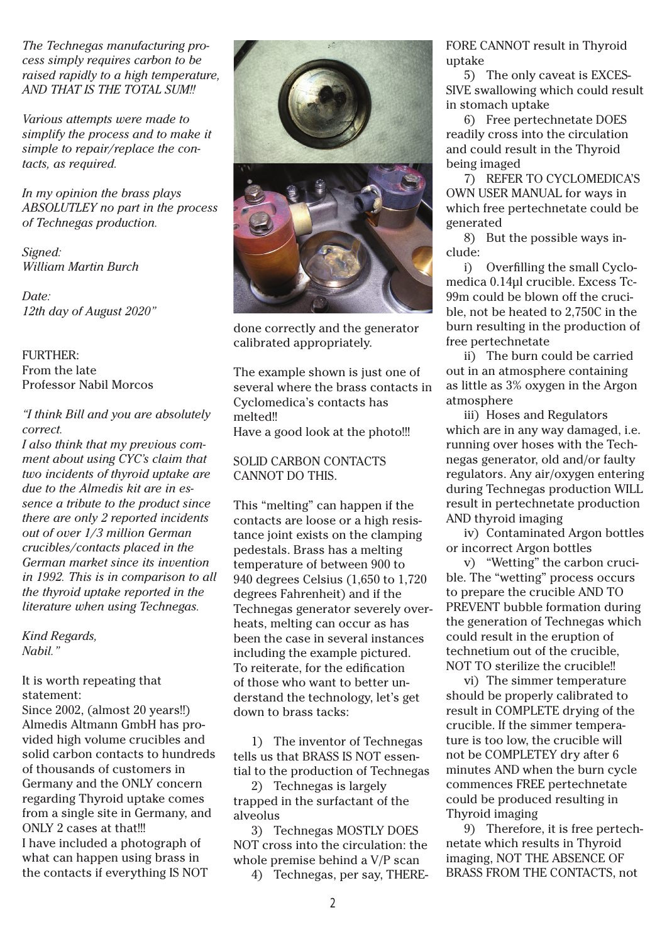*The Technegas manufacturing process simply requires carbon to be raised rapidly to a high temperature, AND THAT IS THE TOTAL SUM!!* 

*Various attempts were made to simplify the process and to make it simple to repair/replace the contacts, as required.* 

*In my opinion the brass plays ABSOLUTLEY no part in the process of Technegas production.*

*Signed: William Martin Burch*

*Date: 12th day of August 2020"*

#### FURTHER: From the late Professor Nabil Morcos

#### *"I think Bill and you are absolutely correct.*

*I also think that my previous comment about using CYC's claim that two incidents of thyroid uptake are due to the Almedis kit are in essence a tribute to the product since there are only 2 reported incidents out of over 1/3 million German crucibles/contacts placed in the German market since its invention in 1992. This is in comparison to all the thyroid uptake reported in the literature when using Technegas.*

*Kind Regards, Nabil."*

#### It is worth repeating that statement:

Since 2002, (almost 20 years!!) Almedis Altmann GmbH has provided high volume crucibles and solid carbon contacts to hundreds of thousands of customers in Germany and the ONLY concern regarding Thyroid uptake comes from a single site in Germany, and ONLY 2 cases at that!!! I have included a photograph of what can happen using brass in the contacts if everything IS NOT



done correctly and the generator calibrated appropriately.

The example shown is just one of several where the brass contacts in Cyclomedica's contacts has melted!! Have a good look at the photo!!!

#### SOLID CARBON CONTACTS CANNOT DO THIS.

This "melting" can happen if the contacts are loose or a high resistance joint exists on the clamping pedestals. Brass has a melting temperature of between 900 to 940 degrees Celsius (1,650 to 1,720 degrees Fahrenheit) and if the Technegas generator severely overheats, melting can occur as has been the case in several instances including the example pictured. To reiterate, for the edification of those who want to better understand the technology, let's get down to brass tacks:

1) The inventor of Technegas tells us that BRASS IS NOT essential to the production of Technegas

2) Technegas is largely trapped in the surfactant of the alveolus

3) Technegas MOSTLY DOES NOT cross into the circulation: the whole premise behind a V/P scan

4) Technegas, per say, THERE-

FORE CANNOT result in Thyroid uptake

5) The only caveat is EXCES-SIVE swallowing which could result in stomach uptake

6) Free pertechnetate DOES readily cross into the circulation and could result in the Thyroid being imaged

7) REFER TO CYCLOMEDICA'S OWN USER MANUAL for ways in which free pertechnetate could be generated

8) But the possible ways include:

i) Overfilling the small Cyclomedica 0.14µl crucible. Excess Tc-99m could be blown off the crucible, not be heated to 2,750C in the burn resulting in the production of free pertechnetate

ii) The burn could be carried out in an atmosphere containing as little as 3% oxygen in the Argon atmosphere

iii) Hoses and Regulators which are in any way damaged, i.e. running over hoses with the Technegas generator, old and/or faulty regulators. Any air/oxygen entering during Technegas production WILL result in pertechnetate production AND thyroid imaging

iv) Contaminated Argon bottles or incorrect Argon bottles

v) "Wetting" the carbon crucible. The "wetting" process occurs to prepare the crucible AND TO PREVENT bubble formation during the generation of Technegas which could result in the eruption of technetium out of the crucible, NOT TO sterilize the crucible!!

vi) The simmer temperature should be properly calibrated to result in COMPLETE drying of the crucible. If the simmer temperature is too low, the crucible will not be COMPLETEY dry after 6 minutes AND when the burn cycle commences FREE pertechnetate could be produced resulting in Thyroid imaging

9) Therefore, it is free pertechnetate which results in Thyroid imaging, NOT THE ABSENCE OF BRASS FROM THE CONTACTS, not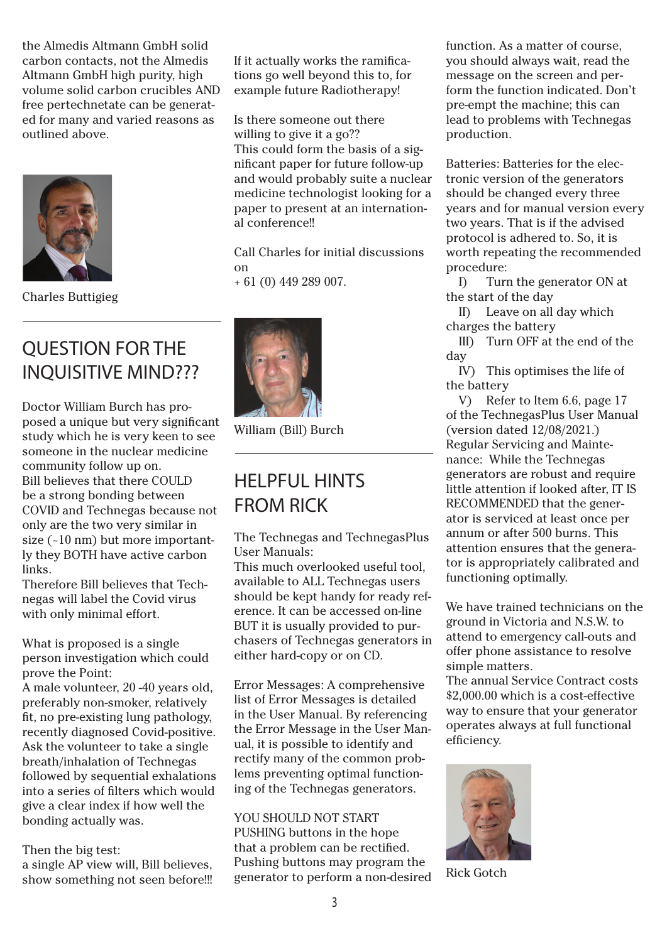the Almedis Altmann GmbH solid carbon contacts, not the Almedis Altmann GmbH high purity, high volume solid carbon crucibles AND free pertechnetate can be generated for many and varied reasons as outlined above.



Charles Buttigieg

## QUESTION FOR THE INQUISITIVE MIND???

Doctor William Burch has proposed a unique but very significant study which he is very keen to see someone in the nuclear medicine community follow up on. Bill believes that there COULD be a strong bonding between COVID and Technegas because not only are the two very similar in size (~10 nm) but more importantly they BOTH have active carbon links.

Therefore Bill believes that Technegas will label the Covid virus with only minimal effort.

What is proposed is a single person investigation which could prove the Point:

A male volunteer, 20 -40 years old, preferably non-smoker, relatively fit, no pre-existing lung pathology, recently diagnosed Covid-positive. Ask the volunteer to take a single breath/inhalation of Technegas followed by sequential exhalations into a series of filters which would give a clear index if how well the bonding actually was.

Then the big test:

a single AP view will, Bill believes, show something not seen before!!! If it actually works the ramifications go well beyond this to, for example future Radiotherapy!

Is there someone out there willing to give it a go?? This could form the basis of a significant paper for future follow-up and would probably suite a nuclear medicine technologist looking for a paper to present at an international conference!!

Call Charles for initial discussions on + 61 (0) 449 289 007.



William (Bill) Burch

## HELPFUL HINTS FROM RICK

The Technegas and TechnegasPlus User Manuals:

This much overlooked useful tool, available to ALL Technegas users should be kept handy for ready reference. It can be accessed on-line BUT it is usually provided to purchasers of Technegas generators in either hard-copy or on CD.

Error Messages: A comprehensive list of Error Messages is detailed in the User Manual. By referencing the Error Message in the User Manual, it is possible to identify and rectify many of the common problems preventing optimal functioning of the Technegas generators.

#### YOU SHOULD NOT START

PUSHING buttons in the hope that a problem can be rectified. Pushing buttons may program the generator to perform a non-desired function. As a matter of course, you should always wait, read the message on the screen and perform the function indicated. Don't pre-empt the machine; this can lead to problems with Technegas production.

Batteries: Batteries for the electronic version of the generators should be changed every three years and for manual version every two years. That is if the advised protocol is adhered to. So, it is worth repeating the recommended procedure:

 I) Turn the generator ON at the start of the day

 II) Leave on all day which charges the battery

 III) Turn OFF at the end of the day

 IV) This optimises the life of the battery

 V) Refer to Item 6.6, page 17 of the TechnegasPlus User Manual (version dated 12/08/2021.) Regular Servicing and Maintenance: While the Technegas generators are robust and require little attention if looked after, IT IS RECOMMENDED that the generator is serviced at least once per annum or after 500 burns. This attention ensures that the generator is appropriately calibrated and functioning optimally.

We have trained technicians on the ground in Victoria and N.S.W. to attend to emergency call-outs and offer phone assistance to resolve simple matters.

The annual Service Contract costs \$2,000.00 which is a cost-effective way to ensure that your generator operates always at full functional efficiency.



Rick Gotch